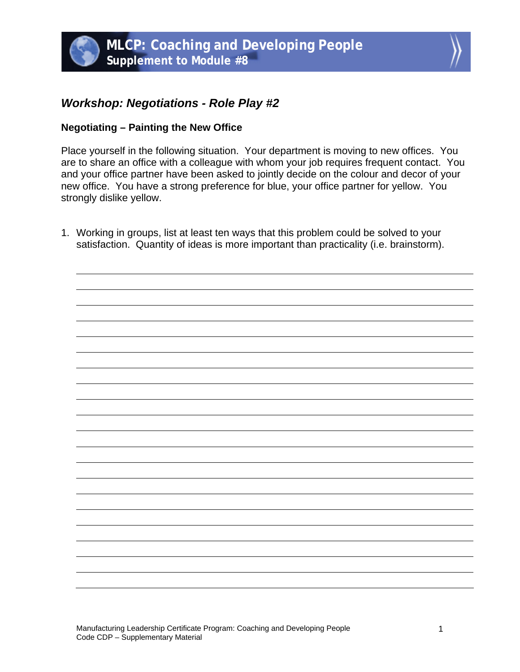## *Workshop: Negotiations - Role Play #2*

## **Negotiating – Painting the New Office**

Place yourself in the following situation. Your department is moving to new offices. You are to share an office with a colleague with whom your job requires frequent contact. You and your office partner have been asked to jointly decide on the colour and decor of your new office. You have a strong preference for blue, your office partner for yellow. You strongly dislike yellow.

1. Working in groups, list at least ten ways that this problem could be solved to your satisfaction. Quantity of ideas is more important than practicality (i.e. brainstorm).

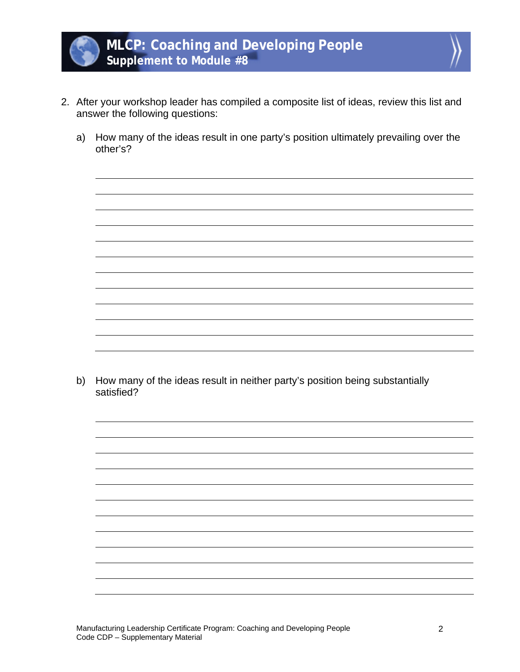



- 2. After your workshop leader has compiled a composite list of ideas, review this list and answer the following questions:
	- a) How many of the ideas result in one party's position ultimately prevailing over the other's?

b) How many of the ideas result in neither party's position being substantially satisfied?